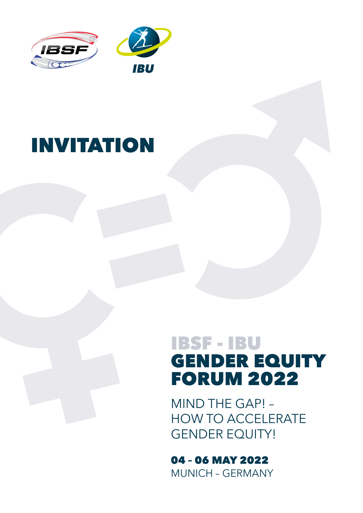

# INVITATION

## IBSF - IBU GENDER EQUITY FORUM 2022

MIND THE GAP! – HOW TO ACCELERATE GENDER EQUITY!

04 – 06 MAY 2022 MUNICH – GERMANY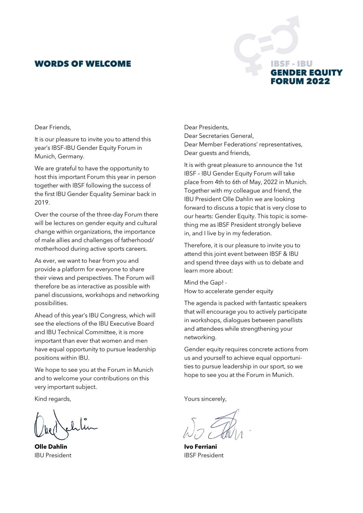## WORDS OF WELCOME

## SF - IBU **IDER EQUITY RUM 2022**

#### Dear Friends,

It is our pleasure to invite you to attend this year's IBSF-IBU Gender Equity Forum in Munich, Germany.

We are grateful to have the opportunity to host this important Forum this year in person together with IBSF following the success of the first IBU Gender Equality Seminar back in 2019.

Over the course of the three-day Forum there will be lectures on gender equity and cultural change within organizations, the importance of male allies and challenges of fatherhood/ motherhood during active sports careers.

As ever, we want to hear from you and provide a platform for everyone to share their views and perspectives. The Forum will therefore be as interactive as possible with panel discussions, workshops and networking possibilities.

Ahead of this year's IBU Congress, which will see the elections of the IBU Executive Board and IBU Technical Committee, it is more important than ever that women and men have equal opportunity to pursue leadership positions within IBU.

We hope to see you at the Forum in Munich and to welcome your contributions on this very important subject.

Kind regards,

**Olle Dahlin** IBU President

Dear Presidents, Dear Secretaries General, Dear Member Federations' representatives, Dear guests and friends,

It is with great pleasure to announce the 1st IBSF – IBU Gender Equity Forum will take place from 4th to 6th of May, 2022 in Munich. Together with my colleague and friend, the IBU President Olle Dahlin we are looking forward to discuss a topic that is very close to our hearts: Gender Equity. This topic is something me as IBSF President strongly believe in, and I live by in my federation.

Therefore, it is our pleasure to invite you to attend this joint event between IBSF & IBU and spend three days with us to debate and learn more about:

Mind the Gap! - How to accelerate gender equity

The agenda is packed with fantastic speakers that will encourage you to actively participate in workshops, dialogues between panellists and attendees while strengthening your networking.

Gender equity requires concrete actions from us and yourself to achieve equal opportunities to pursue leadership in our sport, so we hope to see you at the Forum in Munich.

Yours sincerely,

**Ivo Ferriani** IBSF President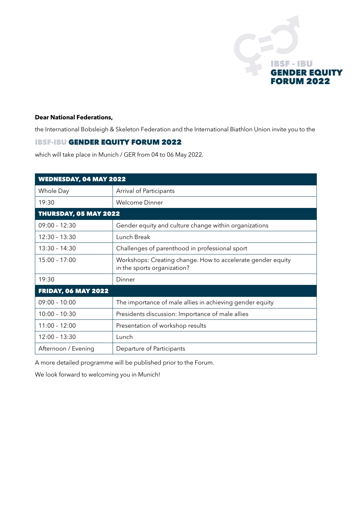

#### **Dear National Federations,**

the International Bobsleigh & Skeleton Federation and the International Biathlon Union invite you to the

#### IBSF-IBU GENDER EQUITY FORUM 2022

which will take place in Munich / GER from 04 to 06 May 2022.

| <b>WEDNESDAY, 04 MAY 2022</b> |                                                                                            |
|-------------------------------|--------------------------------------------------------------------------------------------|
| Whole Day                     | Arrival of Participants                                                                    |
| 19:30                         | Welcome Dinner                                                                             |
| <b>THURSDAY, 05 MAY 2022</b>  |                                                                                            |
| $09:00 - 12:30$               | Gender equity and culture change within organizations                                      |
| $12:30 - 13:30$               | Lunch Break                                                                                |
| $13:30 - 14:30$               | Challenges of parenthood in professional sport                                             |
| $15:00 - 17:00$               | Workshops: Creating change. How to accelerate gender equity<br>in the sports organization? |
| 19:30                         | Dinner                                                                                     |
| <b>FRIDAY, 06 MAY 2022</b>    |                                                                                            |
| $09:00 - 10:00$               | The importance of male allies in achieving gender equity                                   |
| $10:00 - 10:30$               | Presidents discussion: Importance of male allies                                           |
| $11:00 - 12:00$               | Presentation of workshop results                                                           |
| $12:00 - 13:30$               | Lunch                                                                                      |
| Afternoon / Evening           | Departure of Participants                                                                  |

A more detailed programme will be published prior to the Forum.

We look forward to welcoming you in Munich!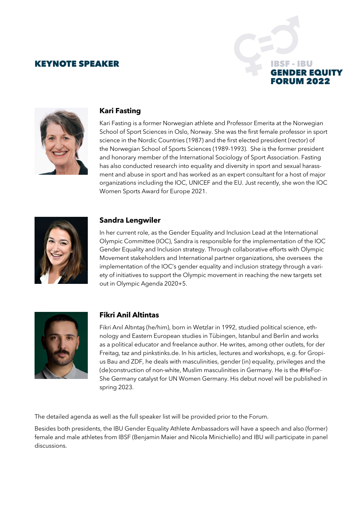## KEYNOTE SPEAKER





### **Kari Fasting**

Kari Fasting is a former Norwegian athlete and Professor Emerita at the Norwegian School of Sport Sciences in Oslo, Norway. She was the first female professor in sport science in the Nordic Countries (1987) and the first elected president (rector) of the Norwegian School of Sports Sciences (1989-1993). She is the former president and honorary member of the International Sociology of Sport Association. Fasting has also conducted research into equality and diversity in sport and sexual harassment and abuse in sport and has worked as an expert consultant for a host of major organizations including the IOC, UNICEF and the EU. Just recently, she won the IOC Women Sports Award for Europe 2021.



## **Sandra Lengwiler**

In her current role, as the Gender Equality and Inclusion Lead at the International Olympic Committee (IOC), Sandra is responsible for the implementation of the IOC Gender Equality and Inclusion strategy. Through collaborative efforts with Olympic Movement stakeholders and International partner organizations, she oversees the implementation of the IOC's gender equality and inclusion strategy through a variety of initiatives to support the Olympic movement in reaching the new targets set out in Olympic Agenda 2020+5.



## **Fikri Anil Altintas**

Fikri Anıl Altıntaş (he/him), born in Wetzlar in 1992, studied political science, ethnology and Eastern European studies in Tübingen, Istanbul and Berlin and works as a political educator and freelance author. He writes, among other outlets, for der Freitag, taz and pinkstinks.de. In his articles, lectures and workshops, e.g. for Gropius Bau and ZDF, he deals with masculinities, gender (in) equality, privileges and the (de)construction of non-white, Muslim masculinities in Germany. He is the #HeFor-She Germany catalyst for UN Women Germany. His debut novel will be published in spring 2023.

The detailed agenda as well as the full speaker list will be provided prior to the Forum.

Besides both presidents, the IBU Gender Equality Athlete Ambassadors will have a speech and also (former) female and male athletes from IBSF (Benjamin Maier and Nicola Minichiello) and IBU will participate in panel discussions.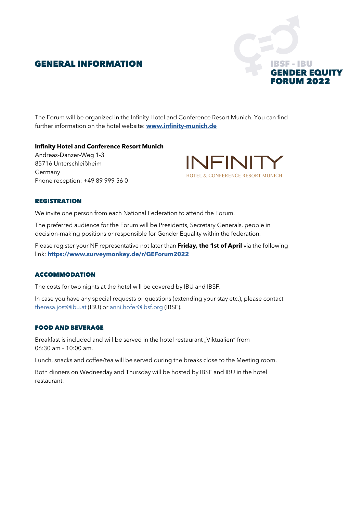## GENERAL INFORMATION



The Forum will be organized in the Infinity Hotel and Conference Resort Munich. You can find further information on the hotel website: **[www.infinity-munich.de](http://www.infinity-munich.de)**

#### **Infinity Hotel and Conference Resort Munich**

Andreas-Danzer-Weg 1-3 85716 Unterschleißheim Germany Phone reception: +49 89 999 56 0



#### **REGISTRATION**

We invite one person from each National Federation to attend the Forum.

The preferred audience for the Forum will be Presidents, Secretary Generals, people in decision-making positions or responsible for Gender Equality within the federation.

Please register your NF representative not later than **Friday, the 1st of April** via the following link: **<https://www.surveymonkey.de/r/GEForum2022>**

#### ACCOMMODATION

The costs for two nights at the hotel will be covered by IBU and IBSF.

In case you have any special requests or questions (extending your stay etc.), please contact [theresa.jost@ibu.at](mailto:theresa.jost%40ibu.at?subject=) (IBU) or [anni.hofer@ibsf.org](mailto:anni.hofer%40ibsf.org?subject=) (IBSF).

#### FOOD AND BEVERAGE

Breakfast is included and will be served in the hotel restaurant "Viktualien" from 06:30 am – 10:00 am.

Lunch, snacks and coffee/tea will be served during the breaks close to the Meeting room.

Both dinners on Wednesday and Thursday will be hosted by IBSF and IBU in the hotel restaurant.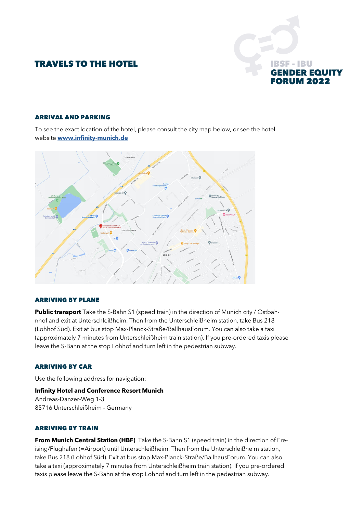## TRAVELS TO THE HOTEL



#### ARRIVAL AND PARKING

To see the exact location of the hotel, please consult the city map below, or see the hotel website **[www.infinity-munich.de](http://www.infinity-munich.de)**



#### ARRIVING BY PLANE

**Public transport** Take the S-Bahn S1 (speed train) in the direction of Munich city / Ostbahnhof and exit at Unterschleißheim. Then from the Unterschleißheim station, take Bus 218 (Lohhof Süd). Exit at bus stop Max-Planck-Straße/BallhausForum. You can also take a taxi (approximately 7 minutes from Unterschleißheim train station). If you pre-ordered taxis please leave the S-Bahn at the stop Lohhof and turn left in the pedestrian subway.

#### ARRIVING BY CAR

Use the following address for navigation:

#### **Infinity Hotel and Conference Resort Munich**

Andreas-Danzer-Weg 1-3 85716 Unterschleißheim - Germany

#### ARRIVING BY TRAIN

**From Munich Central Station (HBF)** Take the S-Bahn S1 (speed train) in the direction of Freising/Flughafen (=Airport) until Unterschleißheim. Then from the Unterschleißheim station, take Bus 218 (Lohhof Süd). Exit at bus stop Max-Planck-Straße/BallhausForum. You can also take a taxi (approximately 7 minutes from Unterschleißheim train station). If you pre-ordered taxis please leave the S-Bahn at the stop Lohhof and turn left in the pedestrian subway.